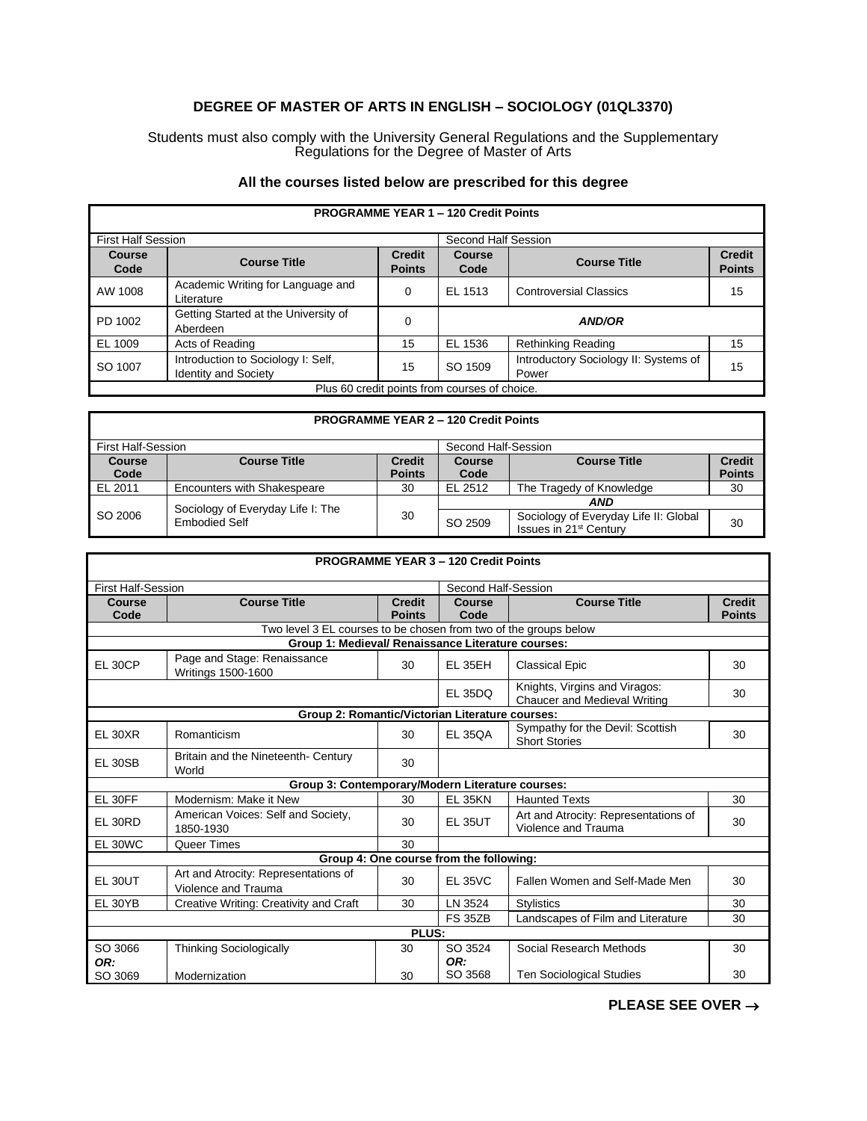## **DEGREE OF MASTER OF ARTS IN ENGLISH – SOCIOLOGY (01QL3370)**

Students must also comply with the University General Regulations and the Supplementary Regulations for the Degree of Master of Arts

## **All the courses listed below are prescribed for this degree**

| <b>PROGRAMME YEAR 1 - 120 Credit Points</b>   |                                                                   |                                |                       |                                                |                                |
|-----------------------------------------------|-------------------------------------------------------------------|--------------------------------|-----------------------|------------------------------------------------|--------------------------------|
| <b>First Half Session</b>                     |                                                                   |                                | Second Half Session   |                                                |                                |
| <b>Course</b><br>Code                         | <b>Course Title</b>                                               | <b>Credit</b><br><b>Points</b> | <b>Course</b><br>Code | <b>Course Title</b>                            | <b>Credit</b><br><b>Points</b> |
| AW 1008                                       | Academic Writing for Language and<br>Literature                   | $\Omega$                       | EL 1513               | <b>Controversial Classics</b>                  | 15                             |
| PD 1002                                       | Getting Started at the University of<br>Aberdeen                  | $\Omega$                       |                       | <b>AND/OR</b>                                  |                                |
| EL 1009                                       | Acts of Reading                                                   | 15                             | EL 1536               | <b>Rethinking Reading</b>                      | 15                             |
| SO 1007                                       | Introduction to Sociology I: Self.<br><b>Identity and Society</b> | 15                             | SO 1509               | Introductory Sociology II: Systems of<br>Power | 15                             |
| Plus 60 credit points from courses of choice. |                                                                   |                                |                       |                                                |                                |

## **PROGRAMME YEAR 2 – 120 Credit Points** First Half-Session Second Half-Session<br> **Second Half-Session**<br>
Second Half-Session<br>
Second Half-Session<br>
Second Half-Session<br>
Second Half-Session<br>
Second Half-Session **Course**  Code<br>EL 2011 **Course Title Points Course Code Course Title Credit Points** Encounters with Shakespeare 30 EL 2512 The Tragedy of Knowledge 30 SO 2006 Sociology of Everyday Life I: The 30 *AND* SO 2509 Sociology of Everyday Life II: Global 30<br>
Issues in 21<sup>st</sup> Century

| <b>PROGRAMME YEAR 3-120 Credit Points</b> |                                                                  |                                |                                         |                                                                      |                                |  |  |
|-------------------------------------------|------------------------------------------------------------------|--------------------------------|-----------------------------------------|----------------------------------------------------------------------|--------------------------------|--|--|
| <b>First Half-Session</b>                 |                                                                  |                                | Second Half-Session                     |                                                                      |                                |  |  |
| Course<br>Code                            | <b>Course Title</b>                                              | <b>Credit</b><br><b>Points</b> | Course<br>Code                          | <b>Course Title</b>                                                  | <b>Credit</b><br><b>Points</b> |  |  |
|                                           | Two level 3 EL courses to be chosen from two of the groups below |                                |                                         |                                                                      |                                |  |  |
|                                           | Group 1: Medieval/ Renaissance Literature courses:               |                                |                                         |                                                                      |                                |  |  |
| <b>EL 30CP</b>                            | Page and Stage: Renaissance<br>Writings 1500-1600                | 30                             | <b>EL 35EH</b>                          | <b>Classical Epic</b>                                                | 30                             |  |  |
|                                           |                                                                  |                                | <b>EL 35DQ</b>                          | Knights, Virgins and Viragos:<br><b>Chaucer and Medieval Writing</b> | 30                             |  |  |
|                                           | Group 2: Romantic/Victorian Literature courses:                  |                                |                                         |                                                                      |                                |  |  |
| <b>EL 30XR</b>                            | Romanticism                                                      | 30                             | <b>EL 350A</b>                          | Sympathy for the Devil: Scottish<br><b>Short Stories</b>             | 30                             |  |  |
| <b>EL 30SB</b>                            | Britain and the Nineteenth- Century<br>World                     | 30                             |                                         |                                                                      |                                |  |  |
|                                           | Group 3: Contemporary/Modern Literature courses:                 |                                |                                         |                                                                      |                                |  |  |
| EL 30FF                                   | Modernism: Make it New                                           | 30                             | <b>EL 35KN</b>                          | <b>Haunted Texts</b>                                                 | 30                             |  |  |
| EL 30RD                                   | American Voices: Self and Society,<br>1850-1930                  | 30                             | <b>EL 35UT</b>                          | Art and Atrocity: Representations of<br>Violence and Trauma          | 30                             |  |  |
| EL 30WC                                   | Queer Times                                                      | 30                             |                                         |                                                                      |                                |  |  |
|                                           |                                                                  |                                | Group 4: One course from the following: |                                                                      |                                |  |  |
| EL 30UT                                   | Art and Atrocity: Representations of<br>Violence and Trauma      | 30                             | <b>EL 35VC</b>                          | Fallen Women and Self-Made Men                                       | 30                             |  |  |
| EL 30YB                                   | Creative Writing: Creativity and Craft                           | 30                             | LN 3524                                 | <b>Stylistics</b>                                                    | 30                             |  |  |
|                                           |                                                                  |                                | <b>FS 35ZB</b>                          | Landscapes of Film and Literature                                    | 30                             |  |  |
|                                           |                                                                  | PLUS:                          |                                         |                                                                      |                                |  |  |
| SO 3066<br>OR:                            | <b>Thinking Sociologically</b>                                   | 30                             | SO 3524<br>OR:                          | Social Research Methods                                              | 30                             |  |  |
| SO 3069                                   | Modernization                                                    | 30                             | SO 3568                                 | <b>Ten Sociological Studies</b>                                      | 30                             |  |  |

**PLEASE SEE OVER** →